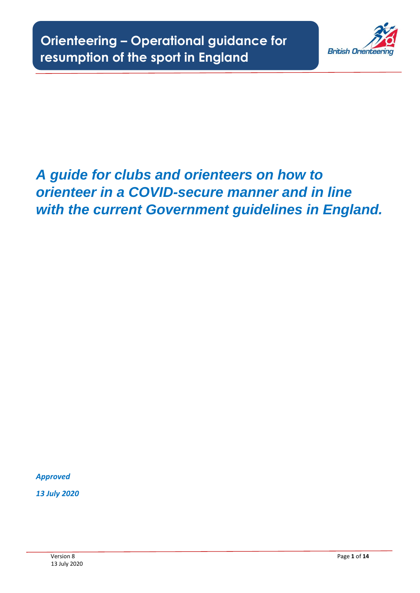

# *A guide for clubs and orienteers on how to orienteer in a COVID-secure manner and in line with the current Government guidelines in England.*

*Approved*

*13 July 2020*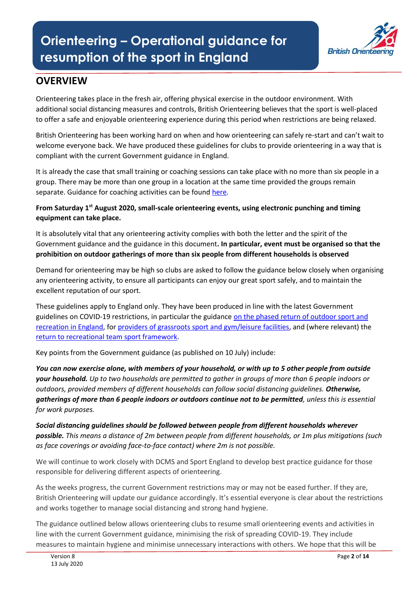

# **OVERVIEW**

Orienteering takes place in the fresh air, offering physical exercise in the outdoor environment. With additional social distancing measures and controls, British Orienteering believes that the sport is well-placed to offer a safe and enjoyable orienteering experience during this period when restrictions are being relaxed.

British Orienteering has been working hard on when and how orienteering can safely re-start and can't wait to welcome everyone back. We have produced these guidelines for clubs to provide orienteering in a way that is compliant with the current Government guidance in England.

It is already the case that small training or coaching sessions can take place with no more than six people in a group. There may be more than one group in a location at the same time provided the groups remain separate. Guidance for coaching activities can be foun[d here.](https://www.gov.uk/government/publications/coronavirus-covid-19-guidance-on-phased-return-of-sport-and-recreation/guidance-for-personal-trainers-and-coaches-on-the-phased-return-of-sport-and-recreation)

**From Saturday 1st August 2020, small-scale orienteering events, using electronic punching and timing equipment can take place.**

It is absolutely vital that any orienteering activity complies with both the letter and the spirit of the Government guidance and the guidance in this document**. In particular, event must be organised so that the prohibition on outdoor gatherings of more than six people from different households is observed**

Demand for orienteering may be high so clubs are asked to follow the guidance below closely when organising any orienteering activity, to ensure all participants can enjoy our great sport safely, and to maintain the excellent reputation of our sport.

These guidelines apply to England only. They have been produced in line with the latest Government guidelines on COVID-19 restrictions, in particular the guidance [on the phased return of outdoor sport and](https://www.gov.uk/government/publications/coronavirus-covid-19-guidance-on-phased-return-of-sport-and-recreation/guidance-for-the-public-on-the-phased-return-of-outdoor-sport-and-recreation)  [recreation in England,](https://www.gov.uk/government/publications/coronavirus-covid-19-guidance-on-phased-return-of-sport-and-recreation/guidance-for-the-public-on-the-phased-return-of-outdoor-sport-and-recreation) for [providers of grassroots sport and gym/leisure facilities,](https://www.gov.uk/guidance/working-safely-during-coronavirus-covid-19/providers-of-grassroots-sport-and-gym-leisure-facilities) and (where relevant) the [return to recreational team sport framework.](https://www.gov.uk/government/publications/coronavirus-covid-19-guidance-on-phased-return-of-sport-and-recreation/return-to-recreational-team-sport-framework)

Key points from the Government guidance (as published on 10 July) include:

*You can now exercise alone, with members of your household, or with up to 5 other people from outside your household. Up to two households are permitted to gather in groups of more than 6 people indoors or outdoors, provided members of different households can follow social distancing guidelines. Otherwise, gatherings of more than 6 people indoors or outdoors continue not to be permitted, unless this is essential for work purposes.*

*Social distancing guidelines should be followed between people from different households wherever possible. This means a distance of 2m between people from different households, or 1m plus mitigations (such as face coverings or avoiding face-to-face contact) where 2m is not possible.*

We will continue to work closely with DCMS and Sport England to develop best practice guidance for those responsible for delivering different aspects of orienteering.

As the weeks progress, the current Government restrictions may or may not be eased further. If they are, British Orienteering will update our guidance accordingly. It's essential everyone is clear about the restrictions and works together to manage social distancing and strong hand hygiene.

The guidance outlined below allows orienteering clubs to resume small orienteering events and activities in line with the current Government guidance, minimising the risk of spreading COVID-19. They include measures to maintain hygiene and minimise unnecessary interactions with others. We hope that this will be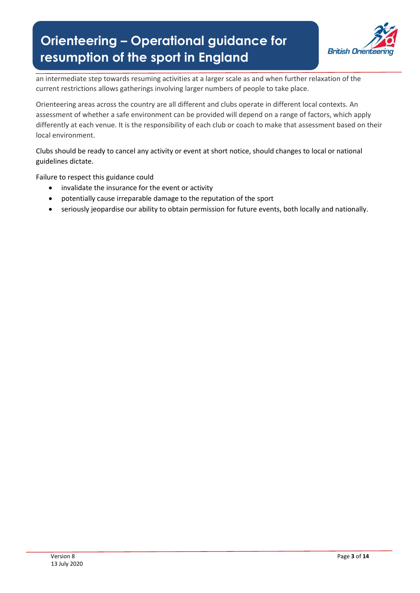

an intermediate step towards resuming activities at a larger scale as and when further relaxation of the current restrictions allows gatherings involving larger numbers of people to take place.

Orienteering areas across the country are all different and clubs operate in different local contexts. An assessment of whether a safe environment can be provided will depend on a range of factors, which apply differently at each venue. It is the responsibility of each club or coach to make that assessment based on their local environment.

Clubs should be ready to cancel any activity or event at short notice, should changes to local or national guidelines dictate.

Failure to respect this guidance could

- invalidate the insurance for the event or activity
- potentially cause irreparable damage to the reputation of the sport
- seriously jeopardise our ability to obtain permission for future events, both locally and nationally.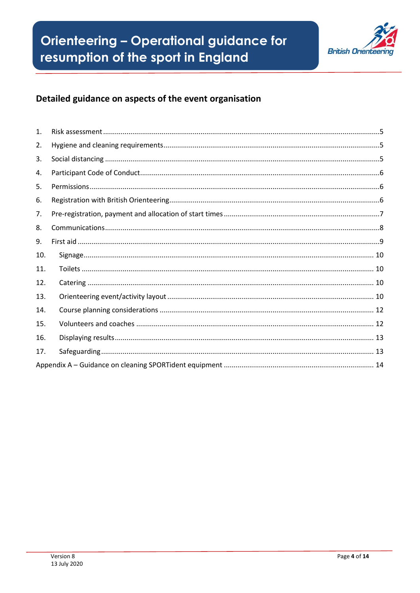

# Detailed guidance on aspects of the event organisation

| $\mathbf{1}$ . |  |
|----------------|--|
| 2.             |  |
| 3.             |  |
| 4.             |  |
| 5.             |  |
| 6.             |  |
| 7.             |  |
| 8.             |  |
| 9.             |  |
| 10.            |  |
| 11.            |  |
| 12.            |  |
| 13.            |  |
| 14.            |  |
| 15.            |  |
| 16.            |  |
| 17.            |  |
|                |  |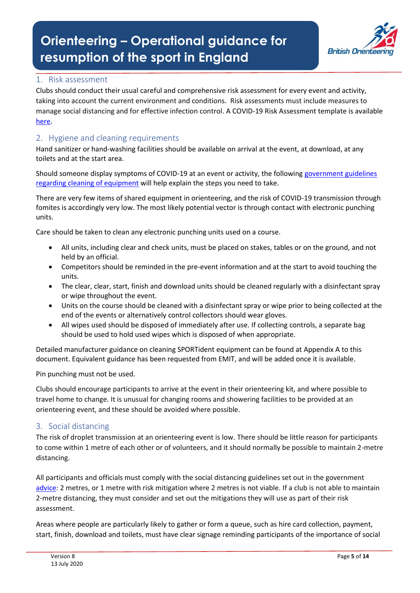

# 1. Risk assessment

Clubs should conduct their usual careful and comprehensive risk assessment for every event and activity, taking into account the current environment and conditions. Risk assessments must include measures to manage social distancing and for effective infection control. A COVID-19 Risk Assessment template is available [here.](https://bof2.sharepoint.com/:w:/g/Competitions/EUix7qmDGDBNvFT0-YGQzY8BRmkY7hO3UMT2ZB6UeYOyhw?e=njAKHj)

# <span id="page-4-0"></span>2. Hygiene and cleaning requirements

Hand sanitizer or hand-washing facilities should be available on arrival at the event, at download, at any toilets and at the start area.

Should someone display symptoms of COVID-19 at an event or activity, the following [government guidelines](https://www.gov.uk/government/publications/covid-19-decontamination-in-non-healthcare-settings/covid-19-decontamination-in-non-healthcare-settings)  [regarding cleaning of equipment](https://www.gov.uk/government/publications/covid-19-decontamination-in-non-healthcare-settings/covid-19-decontamination-in-non-healthcare-settings) will help explain the steps you need to take.

There are very few items of shared equipment in orienteering, and the risk of COVID-19 transmission through fomites is accordingly very low. The most likely potential vector is through contact with electronic punching units.

Care should be taken to clean any electronic punching units used on a course.

- All units, including clear and check units, must be placed on stakes, tables or on the ground, and not held by an official.
- Competitors should be reminded in the pre-event information and at the start to avoid touching the units.
- The clear, clear, start, finish and download units should be cleaned regularly with a disinfectant spray or wipe throughout the event.
- Units on the course should be cleaned with a disinfectant spray or wipe prior to being collected at the end of the events or alternatively control collectors should wear gloves.
- All wipes used should be disposed of immediately after use. If collecting controls, a separate bag should be used to hold used wipes which is disposed of when appropriate.

Detailed manufacturer guidance on cleaning SPORTident equipment can be found at Appendix A to this document. Equivalent guidance has been requested from EMIT, and will be added once it is available.

Pin punching must not be used.

Clubs should encourage participants to arrive at the event in their orienteering kit, and where possible to travel home to change. It is unusual for changing rooms and showering facilities to be provided at an orienteering event, and these should be avoided where possible.

# 3. Social distancing

The risk of droplet transmission at an orienteering event is low. There should be little reason for participants to come within 1 metre of each other or of volunteers, and it should normally be possible to maintain 2-metre distancing.

All participants and officials must comply with the social distancing guidelines set out in the government [advice:](https://www.gov.uk/government/publications/staying-alert-and-safe-social-distancing/staying-alert-and-safe-social-distancing-after-4-july) 2 metres, or 1 metre with risk mitigation where 2 metres is not viable. If a club is not able to maintain 2-metre distancing, they must consider and set out the mitigations they will use as part of their risk assessment.

Areas where people are particularly likely to gather or form a queue, such as hire card collection, payment, start, finish, download and toilets, must have clear signage reminding participants of the importance of social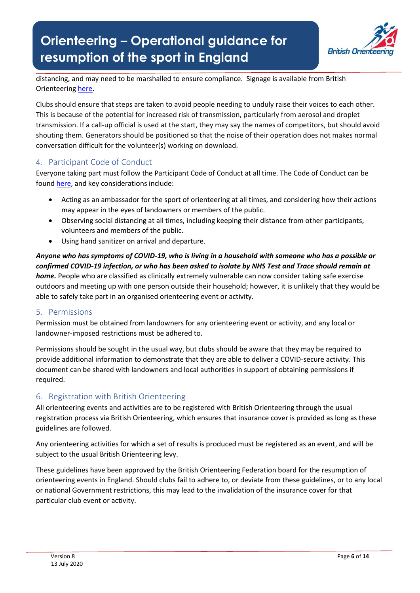

distancing, and may need to be marshalled to ensure compliance. Signage is available from British Orienteering [here.](https://bof2.sharepoint.com/:u:/g/Development-new/EYPDU-iwx1dAo4yrPsjwlvYBN-hvxO6Vd-qcZj538raKUQ?e=gb2ufb)

Clubs should ensure that steps are taken to avoid people needing to unduly raise their voices to each other. This is because of the potential for increased risk of transmission, particularly from aerosol and droplet transmission. If a call-up official is used at the start, they may say the names of competitors, but should avoid shouting them. Generators should be positioned so that the noise of their operation does not makes normal conversation difficult for the volunteer(s) working on download.

# 4. Participant Code of Conduct

Everyone taking part must follow the Participant Code of Conduct at all time. The Code of Conduct can be found [here,](https://bof2.sharepoint.com/:b:/g/Competitions/EWZUzhGeOWxPgXxiXFiTS20BkTMAy08Xm8S06riscl-hMg?e=3uMeb1) and key considerations include:

- Acting as an ambassador for the sport of orienteering at all times, and considering how their actions may appear in the eyes of landowners or members of the public.
- Observing social distancing at all times, including keeping their distance from other participants, volunteers and members of the public.
- Using hand sanitizer on arrival and departure.

# *Anyone who has symptoms of COVID-19, who is living in a household with someone who has a possible or confirmed COVID-19 infection, or who has been asked to isolate by NHS Test and Trace should remain at home.* People who are classified as clinically extremely vulnerable can now consider taking safe exercise outdoors and meeting up with one person outside their household; however, it is unlikely that they would be able to safely take part in an organised orienteering event or activity.

# 5. Permissions

Permission must be obtained from landowners for any orienteering event or activity, and any local or landowner-imposed restrictions must be adhered to.

Permissions should be sought in the usual way, but clubs should be aware that they may be required to provide additional information to demonstrate that they are able to deliver a COVID-secure activity. This document can be shared with landowners and local authorities in support of obtaining permissions if required.

# 6. Registration with British Orienteering

All orienteering events and activities are to be registered with British Orienteering through the usual registration process via British Orienteering, which ensures that insurance cover is provided as long as these guidelines are followed.

Any orienteering activities for which a set of results is produced must be registered as an event, and will be subject to the usual British Orienteering levy.

These guidelines have been approved by the British Orienteering Federation board for the resumption of orienteering events in England. Should clubs fail to adhere to, or deviate from these guidelines, or to any local or national Government restrictions, this may lead to the invalidation of the insurance cover for that particular club event or activity.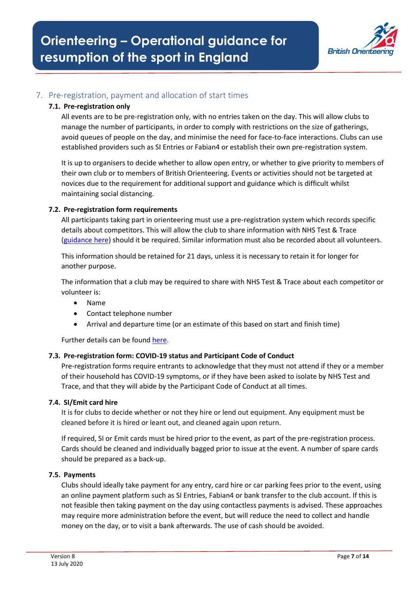

# 7. Pre-registration, payment and allocation of start times

#### **7.1. Pre-registration only**

All events are to be pre-registration only, with no entries taken on the day. This will allow clubs to manage the number of participants, in order to comply with restrictions on the size of gatherings, avoid queues of people on the day, and minimise the need for face-to-face interactions. Clubs can use established providers such as SI Entries or Fabian4 or establish their own pre-registration system.

It is up to organisers to decide whether to allow open entry, or whether to give priority to members of their own club or to members of British Orienteering. Events or activities should not be targeted at novices due to the requirement for additional support and guidance which is difficult whilst maintaining social distancing.

#### **7.2. Pre-registration form requirements**

All participants taking part in orienteering must use a pre-registration system which records specific details about competitors. This will allow the club to share information with NHS Test & Trace [\(guidance here\)](https://www.gov.uk/guidance/maintaining-records-of-staff-customers-and-visitors-to-support-nhs-test-and-trace) should it be required. Similar information must also be recorded about all volunteers.

This information should be retained for 21 days, unless it is necessary to retain it for longer for another purpose.

The information that a club may be required to share with NHS Test & Trace about each competitor or volunteer is:

- Name
- Contact telephone number
- Arrival and departure time (or an estimate of this based on start and finish time)

Further details can be found [here.](https://www.gov.uk/guidance/maintaining-records-of-staff-customers-and-visitors-to-support-nhs-test-and-trace)

#### **7.3. Pre-registration form: COVID-19 status and Participant Code of Conduct**

Pre-registration forms require entrants to acknowledge that they must not attend if they or a member of their household has COVID-19 symptoms, or if they have been asked to isolate by NHS Test and Trace, and that they will abide by the Participant Code of Conduct at all times.

#### **7.4. SI/Emit card hire**

It is for clubs to decide whether or not they hire or lend out equipment. Any equipment must be cleaned before it is hired or leant out, and cleaned again upon return.

If required, SI or Emit cards must be hired prior to the event, as part of the pre-registration process. Cards should be cleaned and individually bagged prior to issue at the event. A number of spare cards should be prepared as a back-up.

#### **7.5. Payments**

Clubs should ideally take payment for any entry, card hire or car parking fees prior to the event, using an online payment platform such as SI Entries, Fabian4 or bank transfer to the club account. If this is not feasible then taking payment on the day using contactless payments is advised. These approaches may require more administration before the event, but will reduce the need to collect and handle money on the day, or to visit a bank afterwards. The use of cash should be avoided.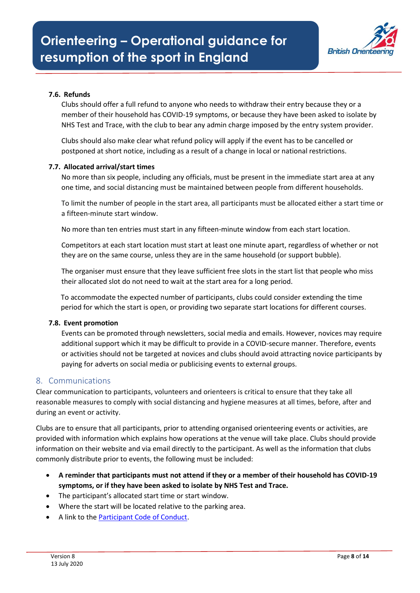

# **7.6. Refunds**

Clubs should offer a full refund to anyone who needs to withdraw their entry because they or a member of their household has COVID-19 symptoms, or because they have been asked to isolate by NHS Test and Trace, with the club to bear any admin charge imposed by the entry system provider.

Clubs should also make clear what refund policy will apply if the event has to be cancelled or postponed at short notice, including as a result of a change in local or national restrictions.

#### **7.7. Allocated arrival/start times**

No more than six people, including any officials, must be present in the immediate start area at any one time, and social distancing must be maintained between people from different households.

To limit the number of people in the start area, all participants must be allocated either a start time or a fifteen-minute start window.

No more than ten entries must start in any fifteen-minute window from each start location.

Competitors at each start location must start at least one minute apart, regardless of whether or not they are on the same course, unless they are in the same household (or support bubble).

The organiser must ensure that they leave sufficient free slots in the start list that people who miss their allocated slot do not need to wait at the start area for a long period.

To accommodate the expected number of participants, clubs could consider extending the time period for which the start is open, or providing two separate start locations for different courses.

#### **7.8. Event promotion**

Events can be promoted through newsletters, social media and emails. However, novices may require additional support which it may be difficult to provide in a COVID-secure manner. Therefore, events or activities should not be targeted at novices and clubs should avoid attracting novice participants by paying for adverts on social media or publicising events to external groups.

#### 8. Communications

Clear communication to participants, volunteers and orienteers is critical to ensure that they take all reasonable measures to comply with social distancing and hygiene measures at all times, before, after and during an event or activity.

Clubs are to ensure that all participants, prior to attending organised orienteering events or activities, are provided with information which explains how operations at the venue will take place. Clubs should provide information on their website and via email directly to the participant. As well as the information that clubs commonly distribute prior to events, the following must be included:

- **A reminder that participants must not attend if they or a member of their household has COVID-19 symptoms, or if they have been asked to isolate by NHS Test and Trace.**
- The participant's allocated start time or start window.
- Where the start will be located relative to the parking area.
- A link to the [Participant Code of Conduct.](https://bof2.sharepoint.com/:b:/g/Competitions/EfX0-LmKllFDiR_DAzbLLhEBGuYlzBWcEkfuswPwceZGSA?e=pzsWgf)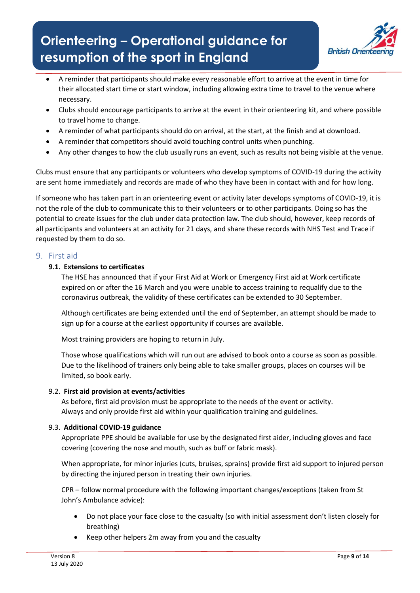

- A reminder that participants should make every reasonable effort to arrive at the event in time for their allocated start time or start window, including allowing extra time to travel to the venue where necessary.
- Clubs should encourage participants to arrive at the event in their orienteering kit, and where possible to travel home to change.
- A reminder of what participants should do on arrival, at the start, at the finish and at download.
- A reminder that competitors should avoid touching control units when punching.
- Any other changes to how the club usually runs an event, such as results not being visible at the venue.

Clubs must ensure that any participants or volunteers who develop symptoms of COVID-19 during the activity are sent home immediately and records are made of who they have been in contact with and for how long.

If someone who has taken part in an orienteering event or activity later develops symptoms of COVID-19, it is not the role of the club to communicate this to their volunteers or to other participants. Doing so has the potential to create issues for the club under data protection law. The club should, however, keep records of all participants and volunteers at an activity for 21 days, and share these records with NHS Test and Trace if requested by them to do so.

# 9. First aid

#### **9.1. Extensions to certificates**

The HSE has announced that if your First Aid at Work or Emergency First aid at Work certificate expired on or after the 16 March and you were unable to access training to requalify due to the coronavirus outbreak, the validity of these certificates can be extended to 30 September.

Although certificates are being extended until the end of September, an attempt should be made to sign up for a course at the earliest opportunity if courses are available.

Most training providers are hoping to return in July.

Those whose qualifications which will run out are advised to book onto a course as soon as possible. Due to the likelihood of trainers only being able to take smaller groups, places on courses will be limited, so book early.

#### 9.2. **First aid provision at events/activities**

As before, first aid provision must be appropriate to the needs of the event or activity. Always and only provide first aid within your qualification training and guidelines.

# 9.3. **Additional COVID-19 guidance**

Appropriate PPE should be available for use by the designated first aider, including gloves and face covering (covering the nose and mouth, such as buff or fabric mask).

When appropriate, for minor injuries (cuts, bruises, sprains) provide first aid support to injured person by directing the injured person in treating their own injuries.

CPR – follow normal procedure with the following important changes/exceptions (taken from St John's Ambulance advice):

- Do not place your face close to the casualty (so with initial assessment don't listen closely for breathing)
- Keep other helpers 2m away from you and the casualty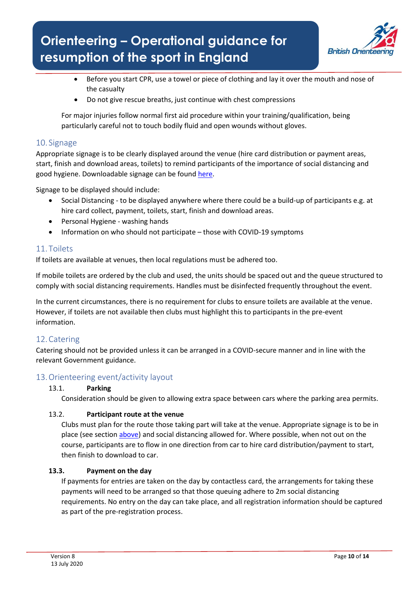

- Before you start CPR, use a towel or piece of clothing and lay it over the mouth and nose of the casualty
- Do not give rescue breaths, just continue with chest compressions

For major injuries follow normal first aid procedure within your training/qualification, being particularly careful not to touch bodily fluid and open wounds without gloves.

# <span id="page-9-0"></span>10. Signage

Appropriate signage is to be clearly displayed around the venue (hire card distribution or payment areas, start, finish and download areas, toilets) to remind participants of the importance of social distancing and good hygiene. Downloadable signage can be found [here.](https://www.britishorienteering.org.uk/COVID19_Safe_Orienteering)

Signage to be displayed should include:

- Social Distancing to be displayed anywhere where there could be a build-up of participants e.g. at hire card collect, payment, toilets, start, finish and download areas.
- Personal Hygiene washing hands
- Information on who should not participate those with COVID-19 symptoms

# 11. Toilets

If toilets are available at venues, then local regulations must be adhered too.

If mobile toilets are ordered by the club and used, the units should be spaced out and the queue structured to comply with social distancing requirements. Handles must be disinfected frequently throughout the event.

In the current circumstances, there is no requirement for clubs to ensure toilets are available at the venue. However, if toilets are not available then clubs must highlight this to participants in the pre-event information.

# 12.Catering

Catering should not be provided unless it can be arranged in a COVID-secure manner and in line with the relevant Government guidance.

# 13.Orienteering event/activity layout

# 13.1. **Parking**

Consideration should be given to allowing extra space between cars where the parking area permits.

#### 13.2. **Participant route at the venue**

Clubs must plan for the route those taking part will take at the venue. Appropriate signage is to be in place (see section [above\)](#page-9-0) and social distancing allowed for. Where possible, when not out on the course, participants are to flow in one direction from car to hire card distribution/payment to start, then finish to download to car.

# **13.3. Payment on the day**

If payments for entries are taken on the day by contactless card, the arrangements for taking these payments will need to be arranged so that those queuing adhere to 2m social distancing requirements. No entry on the day can take place, and all registration information should be captured as part of the pre-registration process.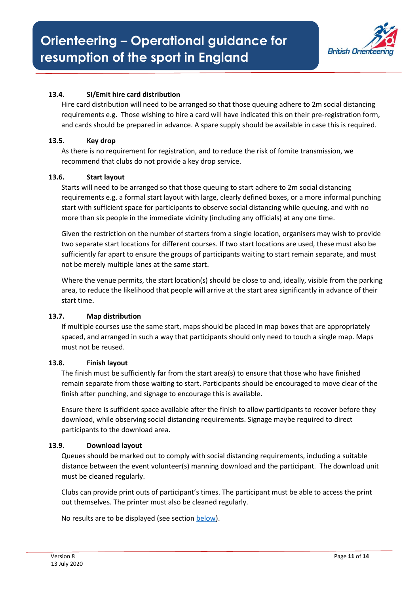

# **13.4. SI/Emit hire card distribution**

Hire card distribution will need to be arranged so that those queuing adhere to 2m social distancing requirements e.g. Those wishing to hire a card will have indicated this on their pre-registration form, and cards should be prepared in advance. A spare supply should be available in case this is required.

#### **13.5. Key drop**

As there is no requirement for registration, and to reduce the risk of fomite transmission, we recommend that clubs do not provide a key drop service.

#### **13.6. Start layout**

Starts will need to be arranged so that those queuing to start adhere to 2m social distancing requirements e.g. a formal start layout with large, clearly defined boxes, or a more informal punching start with sufficient space for participants to observe social distancing while queuing, and with no more than six people in the immediate vicinity (including any officials) at any one time.

Given the restriction on the number of starters from a single location, organisers may wish to provide two separate start locations for different courses. If two start locations are used, these must also be sufficiently far apart to ensure the groups of participants waiting to start remain separate, and must not be merely multiple lanes at the same start.

Where the venue permits, the start location(s) should be close to and, ideally, visible from the parking area, to reduce the likelihood that people will arrive at the start area significantly in advance of their start time.

#### **13.7. Map distribution**

If multiple courses use the same start, maps should be placed in map boxes that are appropriately spaced, and arranged in such a way that participants should only need to touch a single map. Maps must not be reused.

#### **13.8. Finish layout**

The finish must be sufficiently far from the start area(s) to ensure that those who have finished remain separate from those waiting to start. Participants should be encouraged to move clear of the finish after punching, and signage to encourage this is available.

Ensure there is sufficient space available after the finish to allow participants to recover before they download, while observing social distancing requirements. Signage maybe required to direct participants to the download area.

#### **13.9. Download layout**

Queues should be marked out to comply with social distancing requirements, including a suitable distance between the event volunteer(s) manning download and the participant. The download unit must be cleaned regularly.

Clubs can provide print outs of participant's times. The participant must be able to access the print out themselves. The printer must also be cleaned regularly.

No results are to be displayed (see section below).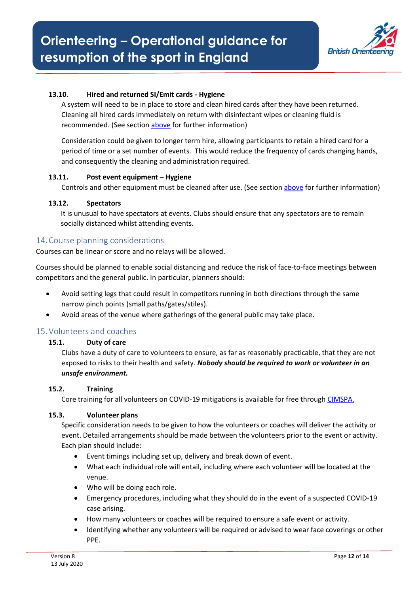

# **13.10. Hired and returned SI/Emit cards - Hygiene**

A system will need to be in place to store and clean hired cards after they have been returned. Cleaning all hired cards immediately on return with disinfectant wipes or cleaning fluid is recommended. (See section [above](#page-4-0) for further information)

Consideration could be given to longer term hire, allowing participants to retain a hired card for a period of time or a set number of events. This would reduce the frequency of cards changing hands, and consequently the cleaning and administration required.

#### **13.11. Post event equipment – Hygiene**

Controls and other equipment must be cleaned after use. (See sectio[n above](#page-4-0) for further information)

#### **13.12. Spectators**

It is unusual to have spectators at events. Clubs should ensure that any spectators are to remain socially distanced whilst attending events.

#### 14.Course planning considerations

Courses can be linear or score and no relays will be allowed.

Courses should be planned to enable social distancing and reduce the risk of face-to-face meetings between competitors and the general public. In particular, planners should:

- Avoid setting legs that could result in competitors running in both directions through the same narrow pinch points (small paths/gates/stiles).
- Avoid areas of the venue where gatherings of the general public may take place.

#### 15.Volunteers and coaches

#### **15.1. Duty of care**

Clubs have a duty of care to volunteers to ensure, as far as reasonably practicable, that they are not exposed to risks to their health and safety. *Nobody should be required to work or volunteer in an unsafe environment.*

#### **15.2. Training**

Core training for all volunteers on COVID-19 mitigations is available for free through [CIMSPA.](https://www.cimspa.co.uk/library-and-guidance/coronavirus---cimspa-briefings/reopen-sport-and-physical-activity-sector-facility-reopening-guidance)

#### **15.3. Volunteer plans**

Specific consideration needs to be given to how the volunteers or coaches will deliver the activity or event. Detailed arrangements should be made between the volunteers prior to the event or activity. Each plan should include:

- Event timings including set up, delivery and break down of event.
- What each individual role will entail, including where each volunteer will be located at the venue.
- Who will be doing each role.
- Emergency procedures, including what they should do in the event of a suspected COVID-19 case arising.
- How many volunteers or coaches will be required to ensure a safe event or activity.
- Identifying whether any volunteers will be required or advised to wear face coverings or other PPE.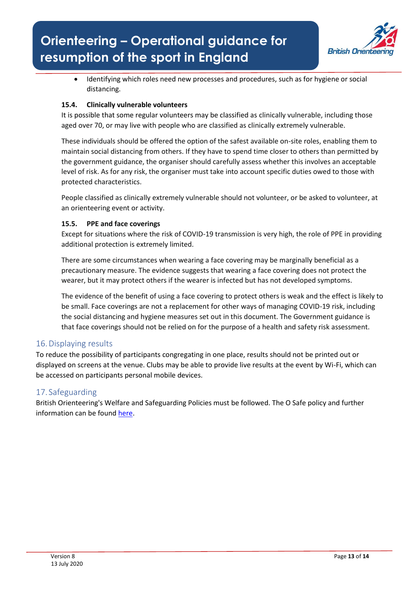

• Identifying which roles need new processes and procedures, such as for hygiene or social distancing.

# **15.4. Clinically vulnerable volunteers**

It is possible that some regular volunteers may be classified as clinically vulnerable, including those aged over 70, or may live with people who are classified as clinically extremely vulnerable.

These individuals should be offered the option of the safest available on-site roles, enabling them to maintain social distancing from others. If they have to spend time closer to others than permitted by the government guidance, the organiser should carefully assess whether this involves an acceptable level of risk. As for any risk, the organiser must take into account specific duties owed to those with protected characteristics.

People classified as clinically extremely vulnerable should not volunteer, or be asked to volunteer, at an orienteering event or activity.

# **15.5. PPE and face coverings**

Except for situations where the risk of COVID-19 transmission is very high, the role of PPE in providing additional protection is extremely limited.

There are some circumstances when wearing a face covering may be marginally beneficial as a precautionary measure. The evidence suggests that wearing a face covering does not protect the wearer, but it may protect others if the wearer is infected but has not developed symptoms.

The evidence of the benefit of using a face covering to protect others is weak and the effect is likely to be small. Face coverings are not a replacement for other ways of managing COVID-19 risk, including the social distancing and hygiene measures set out in this document. The Government guidance is that face coverings should not be relied on for the purpose of a health and safety risk assessment.

# 16.Displaying results

To reduce the possibility of participants congregating in one place, results should not be printed out or displayed on screens at the venue. Clubs may be able to provide live results at the event by Wi-Fi, which can be accessed on participants personal mobile devices.

# 17. Safeguarding

British Orienteering's Welfare and Safeguarding Policies must be followed. The O Safe policy and further information can be foun[d here.](https://www.britishorienteering.org.uk/safeguardingandsafety)